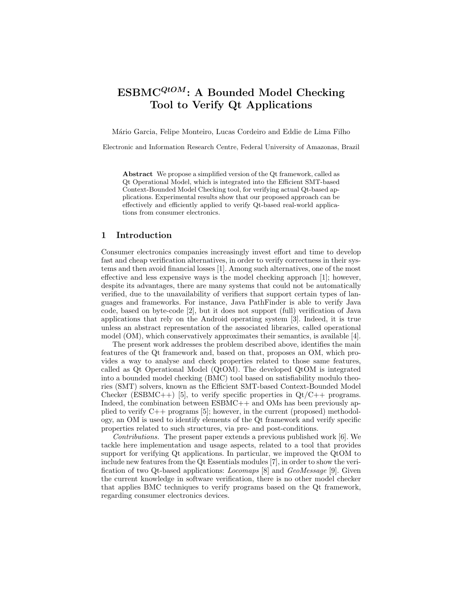# $\text{ESBMC}^{QtOM}$ : A Bounded Model Checking Tool to Verify Qt Applications

Mário Garcia, Felipe Monteiro, Lucas Cordeiro and Eddie de Lima Filho

Electronic and Information Research Centre, Federal University of Amazonas, Brazil

Abstract We propose a simplified version of the Qt framework, called as Qt Operational Model, which is integrated into the Efficient SMT-based Context-Bounded Model Checking tool, for verifying actual Qt-based applications. Experimental results show that our proposed approach can be effectively and efficiently applied to verify Qt-based real-world applications from consumer electronics.

#### 1 Introduction

Consumer electronics companies increasingly invest effort and time to develop fast and cheap verification alternatives, in order to verify correctness in their systems and then avoid financial losses [1]. Among such alternatives, one of the most effective and less expensive ways is the model checking approach [1]; however, despite its advantages, there are many systems that could not be automatically verified, due to the unavailability of verifiers that support certain types of languages and frameworks. For instance, Java PathFinder is able to verify Java code, based on byte-code [2], but it does not support (full) verification of Java applications that rely on the Android operating system [3]. Indeed, it is true unless an abstract representation of the associated libraries, called operational model (OM), which conservatively approximates their semantics, is available [4].

The present work addresses the problem described above, identifies the main features of the Qt framework and, based on that, proposes an OM, which provides a way to analyse and check properties related to those same features, called as Qt Operational Model (QtOM). The developed QtOM is integrated into a bounded model checking (BMC) tool based on satisfiability modulo theories (SMT) solvers, known as the Efficient SMT-based Context-Bounded Model Checker (ESBMC++) [5], to verify specific properties in  $Qt/C++$  programs. Indeed, the combination between ESBMC++ and OMs has been previously applied to verify C++ programs [5]; however, in the current (proposed) methodology, an OM is used to identify elements of the Qt framework and verify specific properties related to such structures, via pre- and post-conditions.

Contributions. The present paper extends a previous published work [6]. We tackle here implementation and usage aspects, related to a tool that provides support for verifying Qt applications. In particular, we improved the QtOM to include new features from the Qt Essentials modules [7], in order to show the verification of two Qt-based applications: Locomaps [8] and GeoMessage [9]. Given the current knowledge in software verification, there is no other model checker that applies BMC techniques to verify programs based on the Qt framework, regarding consumer electronics devices.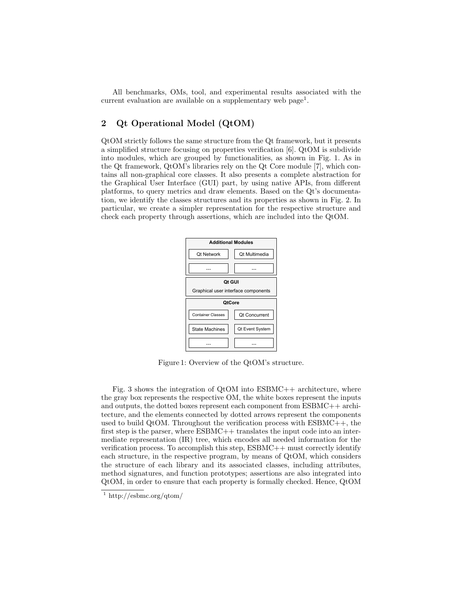All benchmarks, OMs, tool, and experimental results associated with the current evaluation are available on a supplementary web page<sup>1</sup>.

### 2 Qt Operational Model (QtOM)

QtOM strictly follows the same structure from the Qt framework, but it presents a simplified structure focusing on properties verification [6]. QtOM is subdivide into modules, which are grouped by functionalities, as shown in Fig. 1. As in the Qt framework, QtOM's libraries rely on the Qt Core module [7], which contains all non-graphical core classes. It also presents a complete abstraction for the Graphical User Interface (GUI) part, by using native APIs, from different platforms, to query metrics and draw elements. Based on the Qt's documentation, we identify the classes structures and its properties as shown in Fig. 2. In particular, we create a simpler representation for the respective structure and check each property through assertions, which are included into the QtOM.



Figure 1: Overview of the QtOM's structure.

Fig. 3 shows the integration of  $Q$ tOM into  $ESBMC++$  architecture, where the gray box represents the respective OM, the white boxes represent the inputs and outputs, the dotted boxes represent each component from ESBMC++ architecture, and the elements connected by dotted arrows represent the components used to build QtOM. Throughout the verification process with  $\text{ESBMC++}$ , the first step is the parser, where ESBMC++ translates the input code into an intermediate representation (IR) tree, which encodes all needed information for the verification process. To accomplish this step, ESBMC++ must correctly identify each structure, in the respective program, by means of QtOM, which considers the structure of each library and its associated classes, including attributes, method signatures, and function prototypes; assertions are also integrated into QtOM, in order to ensure that each property is formally checked. Hence, QtOM

 $\frac{1}{1}$  http://esbmc.org/qtom/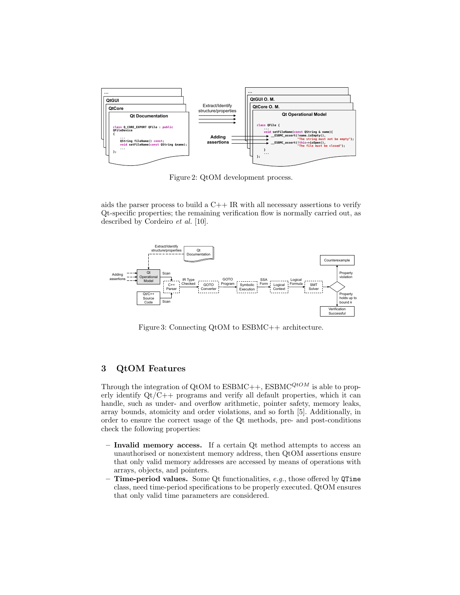

Figure 2: QtOM development process.

aids the parser process to build a  $C++$  IR with all necessary assertions to verify Qt-specific properties; the remaining verification flow is normally carried out, as described by Cordeiro et al. [10].



Figure 3: Connecting QtOM to ESBMC++ architecture.

### 3 QtOM Features

Through the integration of QtOM to  $\text{ESBMC}$ ++,  $\text{ESBMC}$ <sup>QtOM</sup> is able to properly identify Qt/C++ programs and verify all default properties, which it can handle, such as under- and overflow arithmetic, pointer safety, memory leaks, array bounds, atomicity and order violations, and so forth [5]. Additionally, in order to ensure the correct usage of the Qt methods, pre- and post-conditions check the following properties:

- Invalid memory access. If a certain Qt method attempts to access an unauthorised or nonexistent memory address, then QtOM assertions ensure that only valid memory addresses are accessed by means of operations with arrays, objects, and pointers.
- Time-period values. Some Qt functionalities,  $e.g.,$  those offered by QTime class, need time-period specifications to be properly executed. QtOM ensures that only valid time parameters are considered.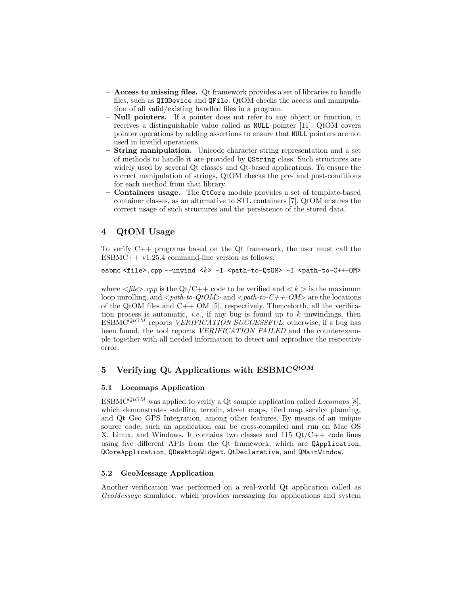- Access to missing files. Qt framework provides a set of libraries to handle files, such as QIODevice and QFile. QtOM checks the access and manipulation of all valid/existing handled files in a program.
- Null pointers. If a pointer does not refer to any object or function, it receives a distinguishable value called as NULL pointer [11]. QtOM covers pointer operations by adding assertions to ensure that NULL pointers are not used in invalid operations.
- **String manipulation.** Unicode character string representation and a set of methods to handle it are provided by QString class. Such structures are widely used by several Qt classes and Qt-based applications. To ensure the correct manipulation of strings, QtOM checks the pre- and post-conditions for each method from that library.
- Containers usage. The QtCore module provides a set of template-based container classes, as an alternative to STL containers [7]. QtOM ensures the correct usage of such structures and the persistence of the stored data.

## 4 QtOM Usage

To verify C++ programs based on the Qt framework, the user must call the  $ESBMC++ v1.25.4 command-line version as follows:$ 

```
esbmc <file>.cpp --unwind <k> -I <path-to-QtOM> -I <path-to-C++-OM>
```
where  $\langle$ file $\rangle$ .cpp is the Qt/C++ code to be verified and  $\langle k \rangle$  is the maximum loop unrolling, and  $\langle path\text{-}to\text{-}QtOM\rangle$  and  $\langle path\text{-}to\text{-}C++\text{-}OM\rangle$  are the locations of the QtOM files and  $C++$  OM [5], respectively. Thenceforth, all the verification process is automatic, *i.e.*, if any bug is found up to  $k$  unwindings, then  $ESBMC^{QtOM}$  reports *VERIFICATION SUCCESSFUL*; otherwise, if a bug has been found, the tool reports *VERIFICATION FAILED* and the counterexample together with all needed information to detect and reproduce the respective error.

## 5 Verifying Qt Applications with  $\mathrm{ESBMC}^{QtOM}$

### 5.1 Locomaps Application

ESBMC<sup>QtOM</sup> was applied to verify a Qt sample application called *Locomaps* [8], which demonstrates satellite, terrain, street maps, tiled map service planning, and Qt Geo GPS Integration, among other features. By means of an unique source code, such an application can be cross-compiled and run on Mac OS X, Linux, and Windows. It contains two classes and  $115 \text{ Qt/C++ code}$  lines using five different APIs from the Qt framework, which are QApplication, QCoreApplication, QDesktopWidget, QtDeclarative, and QMainWindow.

### 5.2 GeoMessage Application

Another verification was performed on a real-world Qt application called as GeoMessage simulator, which provides messaging for applications and system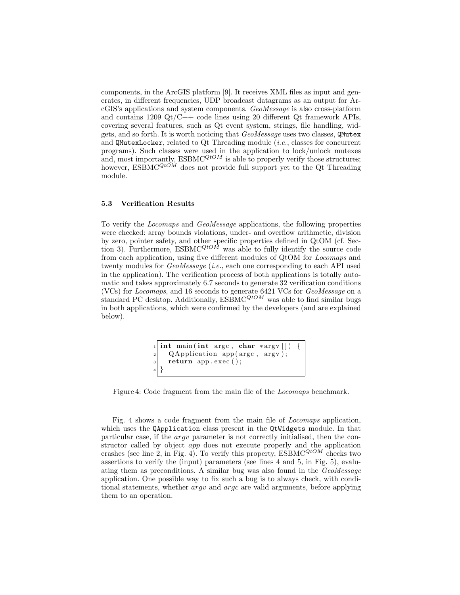components, in the ArcGIS platform [9]. It receives XML files as input and generates, in different frequencies, UDP broadcast datagrams as an output for ArcGIS's applications and system components. GeoMessage is also cross-platform and contains  $1209 \text{ Qt}/\text{C++}$  code lines using 20 different Qt framework APIs, covering several features, such as Qt event system, strings, file handling, widgets, and so forth. It is worth noticing that GeoMessage uses two classes, QMutex and QMutexLocker, related to Qt Threading module (i.e., classes for concurrent programs). Such classes were used in the application to lock/unlock mutexes and, most importantly,  $\text{ESBMC}^{QtOM}$  is able to properly verify those structures; however,  $\text{ESBMC}^{QtOM}$  does not provide full support yet to the Qt Threading module.

#### 5.3 Verification Results

To verify the Locomaps and GeoMessage applications, the following properties were checked: array bounds violations, under- and overflow arithmetic, division by zero, pointer safety, and other specific properties defined in QtOM (cf. Section 3). Furthermore,  $\mathrm{ESBMC}^{QtOM}$  was able to fully identify the source code from each application, using five different modules of QtOM for Locomaps and twenty modules for GeoMessage (i.e., each one corresponding to each API used in the application). The verification process of both applications is totally automatic and takes approximately 6.7 seconds to generate 32 verification conditions (VCs) for Locomaps, and 16 seconds to generate 6421 VCs for GeoMessage on a standard PC desktop. Additionally,  $\overline{ESBMC}^{QtOM}$  was able to find similar bugs in both applications, which were confirmed by the developers (and are explained below).

```
\text{int } \text{main} (\text{int } \text{argc } , \text{ char } * \text{argv } [\ ] )QApplication app (\arg c, \arg v);
      return app. exec ( );
4 }
```
Figure 4: Code fragment from the main file of the Locomaps benchmark.

Fig. 4 shows a code fragment from the main file of Locomaps application, which uses the QApplication class present in the QtWidgets module. In that particular case, if the argv parameter is not correctly initialised, then the constructor called by object app does not execute properly and the application crashes (see line 2, in Fig. 4). To verify this property,  $\text{ESBMC}^{QtOM}$  checks two assertions to verify the (input) parameters (see lines 4 and 5, in Fig. 5), evaluating them as preconditions. A similar bug was also found in the GeoMessage application. One possible way to fix such a bug is to always check, with conditional statements, whether *argv* and *argc* are valid arguments, before applying them to an operation.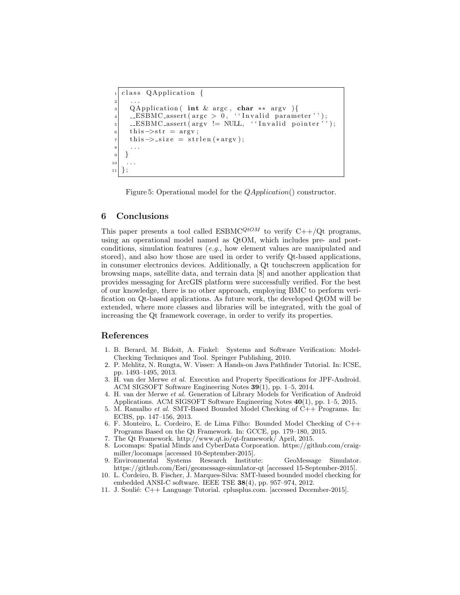```
class QApplication {
 \begin{array}{ccc} \text{2} & \text{...} \end{array}3 QApplication ( int & argc, char ** argv ){
 _{4}| __ESBMC_assert(argc > 0, ''Invalid parameter'');
      LESBMC_assert(argv := NULL, ' 'Invalid pointer '');
     this \rightarrow str = argv;
     this \rightarrow size = strlen (* argv);
 | \cdot | \cdot |9 }
10_{11} } ;
```
Figure 5: Operational model for the *QApplication*() constructor.

#### 6 Conclusions

This paper presents a tool called ESBMC<sup>QtOM</sup> to verify  $C++/Qt$  programs, using an operational model named as QtOM, which includes pre- and postconditions, simulation features (e.g., how element values are manipulated and stored), and also how those are used in order to verify Qt-based applications, in consumer electronics devices. Additionally, a Qt touchscreen application for browsing maps, satellite data, and terrain data [8] and another application that provides messaging for ArcGIS platform were successfully verified. For the best of our knowledge, there is no other approach, employing BMC to perform verification on Qt-based applications. As future work, the developed QtOM will be extended, where more classes and libraries will be integrated, with the goal of increasing the Qt framework coverage, in order to verify its properties.

#### References

- 1. B. Berard, M. Bidoit, A. Finkel: Systems and Software Verification: Model-Checking Techniques and Tool. Springer Publishing, 2010.
- 2. P. Mehlitz, N. Rungta, W. Visser: A Hands-on Java Pathfinder Tutorial. In: ICSE, pp. 1493–1495, 2013.
- 3. H. van der Merwe et al. Execution and Property Specifications for JPF-Android. ACM SIGSOFT Software Engineering Notes 39(1), pp. 1–5, 2014.
- 4. H. van der Merwe et al. Generation of Library Models for Verification of Android Applications. ACM SIGSOFT Software Engineering Notes 40(1), pp. 1–5, 2015.
- 5. M. Ramalho et al. SMT-Based Bounded Model Checking of  $C++$  Programs. In: ECBS, pp. 147–156, 2013.
- 6. F. Monteiro, L. Cordeiro, E. de Lima Filho: Bounded Model Checking of C++ Programs Based on the Qt Framework. In: GCCE, pp. 179–180, 2015.
- 7. The Qt Framework. http://www.qt.io/qt-framework/ April, 2015.
- 8. Locomaps: Spatial Minds and CyberData Corporation. https://github.com/craigmiller/locomaps [accessed 10-September-2015].
- 9. Environmental Systems Research Institute: GeoMessage Simulator. https://github.com/Esri/geomessage-simulator-qt [accessed 15-September-2015].
- 10. L. Cordeiro, B. Fischer, J. Marques-Silva: SMT-based bounded model checking for embedded ANSI-C software. IEEE TSE 38(4), pp. 957–974, 2012.
- 11. J. Souli´e: C++ Language Tutorial. cplusplus.com. [accessed December-2015].